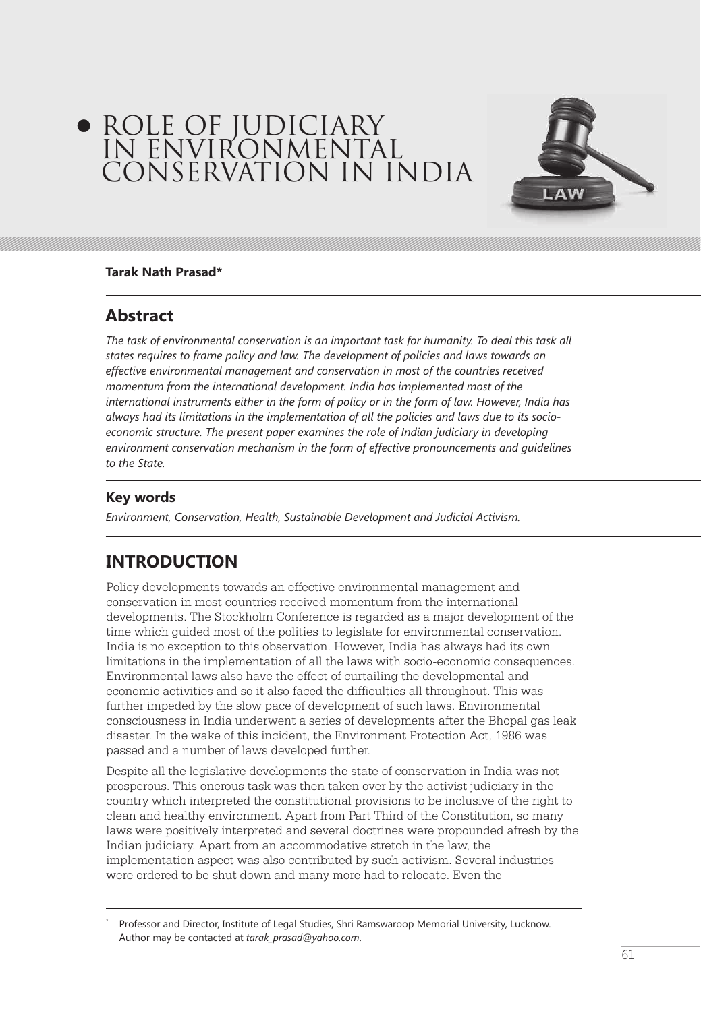# ROLE OF JUDICIARY IN ENVIRONMENTAL CONSERVATION IN INDIA



### **Tarak Nath Prasad\***

## **Abstract**

The task of environmental conservation is an important task for humanity. To deal this task all *states requires to frame policy and law. The development of policies and laws towards an effective environmental management and conservation in most of the countries received momentum from the international development. India has implemented most of the international instruments either in the form of policy or in the form of law. However, India has always had its limitations in the implementation of all the policies and laws due to its socioeconomic structure. The present paper examines the role of Indian judiciary in developing environment conservation mechanism in the form of effective pronouncements and guidelines to the State.*

### **Key words**

*Environment, Conservation, Health, Sustainable Development and Judicial Activism.*

# **INTRODUCTION**

Policy developments towards an effective environmental management and conservation in most countries received momentum from the international developments. The Stockholm Conference is regarded as a major development of the time which guided most of the polities to legislate for environmental conservation. India is no exception to this observation. However, India has always had its own limitations in the implementation of all the laws with socio-economic consequences. Environmental laws also have the effect of curtailing the developmental and economic activities and so it also faced the difficulties all throughout. This was further impeded by the slow pace of development of such laws. Environmental consciousness in India underwent a series of developments after the Bhopal gas leak disaster. In the wake of this incident, the Environment Protection Act, 1986 was passed and a number of laws developed further.

Despite all the legislative developments the state of conservation in India was not prosperous. This onerous task was then taken over by the activist judiciary in the country which interpreted the constitutional provisions to be inclusive of the right to clean and healthy environment. Apart from Part Third of the Constitution, so many laws were positively interpreted and several doctrines were propounded afresh by the Indian judiciary. Apart from an accommodative stretch in the law, the implementation aspect was also contributed by such activism. Several industries were ordered to be shut down and many more had to relocate. Even the

<sup>\*</sup> Professor and Director, Institute of Legal Studies, Shri Ramswaroop Memorial University, Lucknow. Author may be contacted at *tarak\_prasad@yahoo.com*.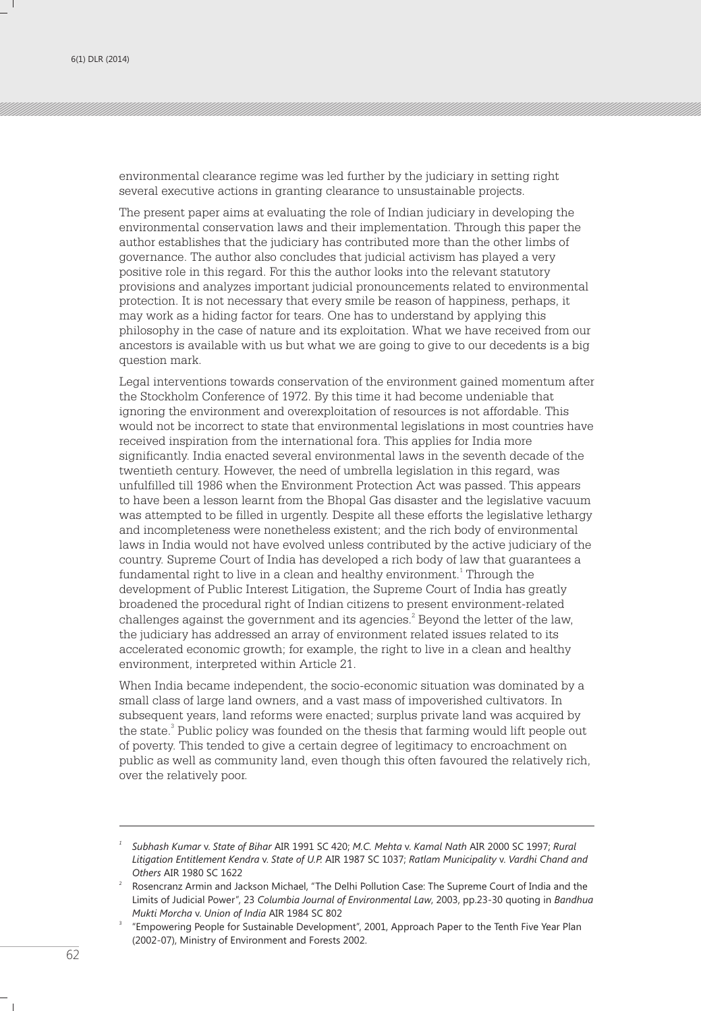environmental clearance regime was led further by the judiciary in setting right several executive actions in granting clearance to unsustainable projects.

The present paper aims at evaluating the role of Indian judiciary in developing the environmental conservation laws and their implementation. Through this paper the author establishes that the judiciary has contributed more than the other limbs of governance. The author also concludes that judicial activism has played a very positive role in this regard. For this the author looks into the relevant statutory provisions and analyzes important judicial pronouncements related to environmental protection. It is not necessary that every smile be reason of happiness, perhaps, it may work as a hiding factor for tears. One has to understand by applying this philosophy in the case of nature and its exploitation. What we have received from our ancestors is available with us but what we are going to give to our decedents is a big question mark.

Legal interventions towards conservation of the environment gained momentum after the Stockholm Conference of 1972. By this time it had become undeniable that ignoring the environment and overexploitation of resources is not affordable. This would not be incorrect to state that environmental legislations in most countries have received inspiration from the international fora. This applies for India more significantly. India enacted several environmental laws in the seventh decade of the twentieth century. However, the need of umbrella legislation in this regard, was unfulfilled till 1986 when the Environment Protection Act was passed. This appears to have been a lesson learnt from the Bhopal Gas disaster and the legislative vacuum was attempted to be filled in urgently. Despite all these efforts the legislative lethargy and incompleteness were nonetheless existent; and the rich body of environmental laws in India would not have evolved unless contributed by the active judiciary of the country. Supreme Court of India has developed a rich body of law that guarantees a fundamental right to live in a clean and healthy environment.<sup>1</sup> Through the development of Public Interest Litigation, the Supreme Court of India has greatly broadened the procedural right of Indian citizens to present environment-related challenges against the government and its agencies.<sup>2</sup> Beyond the letter of the law, the judiciary has addressed an array of environment related issues related to its accelerated economic growth; for example, the right to live in a clean and healthy environment, interpreted within Article 21.

When India became independent, the socio-economic situation was dominated by a small class of large land owners, and a vast mass of impoverished cultivators. In subsequent years, land reforms were enacted; surplus private land was acquired by the state.<sup>3</sup> Public policy was founded on the thesis that farming would lift people out of poverty. This tended to give a certain degree of legitimacy to encroachment on public as well as community land, even though this often favoured the relatively rich, over the relatively poor.

*<sup>1</sup> Subhash Kumar* v. *State of Bihar* AIR 1991 SC 420; *M.C. Mehta* v. *Kamal Nath* AIR 2000 SC 1997; *Rural Litigation Entitlement Kendra* v. *State of U.P.* AIR 1987 SC 1037; *Ratlam Municipality* v. *Vardhi Chand and Others* AIR 1980 SC 1622

<sup>2</sup> Rosencranz Armin and Jackson Michael, "The Delhi Pollution Case: The Supreme Court of India and the Limits of Judicial Power", 23 *Columbia Journal of Environmental Law*, 2003, pp.23-30 quoting in *Bandhua Mukti Morcha* v. *Union of India* AIR 1984 SC 802

<sup>3</sup> "Empowering People for Sustainable Development", 2001, Approach Paper to the Tenth Five Year Plan (2002-07), Ministry of Environment and Forests 2002.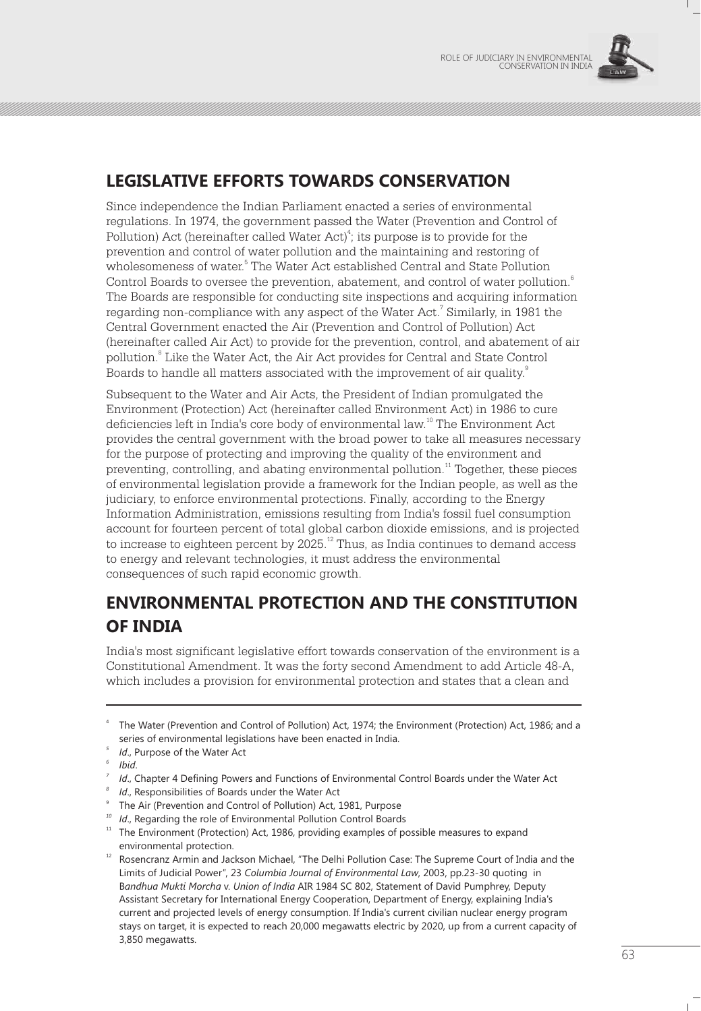

# **LEGISLATIVE EFFORTS TOWARDS CONSERVATION**

Since independence the Indian Parliament enacted a series of environmental regulations. In 1974, the government passed the Water (Prevention and Control of Pollution) Act (hereinafter called Water Act)<sup>4</sup>; its purpose is to provide for the prevention and control of water pollution and the maintaining and restoring of wholesomeness of water.<sup>5</sup> The Water Act established Central and State Pollution Control Boards to oversee the prevention, abatement, and control of water pollution.<sup>6</sup> The Boards are responsible for conducting site inspections and acquiring information regarding non-compliance with any aspect of the Water Act.<sup>7</sup> Similarly, in 1981 the Central Government enacted the Air (Prevention and Control of Pollution) Act (hereinafter called Air Act) to provide for the prevention, control, and abatement of air pollution.<sup>8</sup> Like the Water Act, the Air Act provides for Central and State Control Boards to handle all matters associated with the improvement of air quality.<sup>9</sup>

Subsequent to the Water and Air Acts, the President of Indian promulgated the Environment (Protection) Act (hereinafter called Environment Act) in 1986 to cure deficiencies left in India's core body of environmental law.<sup>10</sup> The Environment Act provides the central government with the broad power to take all measures necessary for the purpose of protecting and improving the quality of the environment and preventing, controlling, and abating environmental pollution.<sup>11</sup> Together, these pieces of environmental legislation provide a framework for the Indian people, as well as the judiciary, to enforce environmental protections. Finally, according to the Energy Information Administration, emissions resulting from India's fossil fuel consumption account for fourteen percent of total global carbon dioxide emissions, and is projected to increase to eighteen percent by  $2025$ .<sup>22</sup> Thus, as India continues to demand access to energy and relevant technologies, it must address the environmental consequences of such rapid economic growth.

# **ENVIRONMENTAL PROTECTION AND THE CONSTITUTION OF INDIA**

India's most significant legislative effort towards conservation of the environment is a Constitutional Amendment. It was the forty second Amendment to add Article 48-A, which includes a provision for environmental protection and states that a clean and

*<sup>10</sup> Id*., Regarding the role of Environmental Pollution Control Boards

<sup>4</sup> The Water (Prevention and Control of Pollution) Act, 1974; the Environment (Protection) Act, 1986; and a series of environmental legislations have been enacted in India.

*<sup>5</sup> Id*., Purpose of the Water Act

*<sup>6</sup> Ibid*.

*<sup>7</sup> Id*., Chapter 4 Defining Powers and Functions of Environmental Control Boards under the Water Act

*<sup>8</sup> Id*., Responsibilities of Boards under the Water Act

<sup>9</sup> The Air (Prevention and Control of Pollution) Act, 1981, Purpose

<sup>&</sup>lt;sup>11</sup> The Environment (Protection) Act, 1986, providing examples of possible measures to expand environmental protection.

<sup>&</sup>lt;sup>12</sup> Rosencranz Armin and Jackson Michael, "The Delhi Pollution Case: The Supreme Court of India and the Limits of Judicial Power", 23 *Columbia Journal of Environmental Law*, 2003, pp.23-30 quoting in B*andhua Mukti Morcha* v. *Union of India* AIR 1984 SC 802, Statement of David Pumphrey, Deputy Assistant Secretary for International Energy Cooperation, Department of Energy, explaining India's current and projected levels of energy consumption. If India's current civilian nuclear energy program stays on target, it is expected to reach 20,000 megawatts electric by 2020, up from a current capacity of 3,850 megawatts.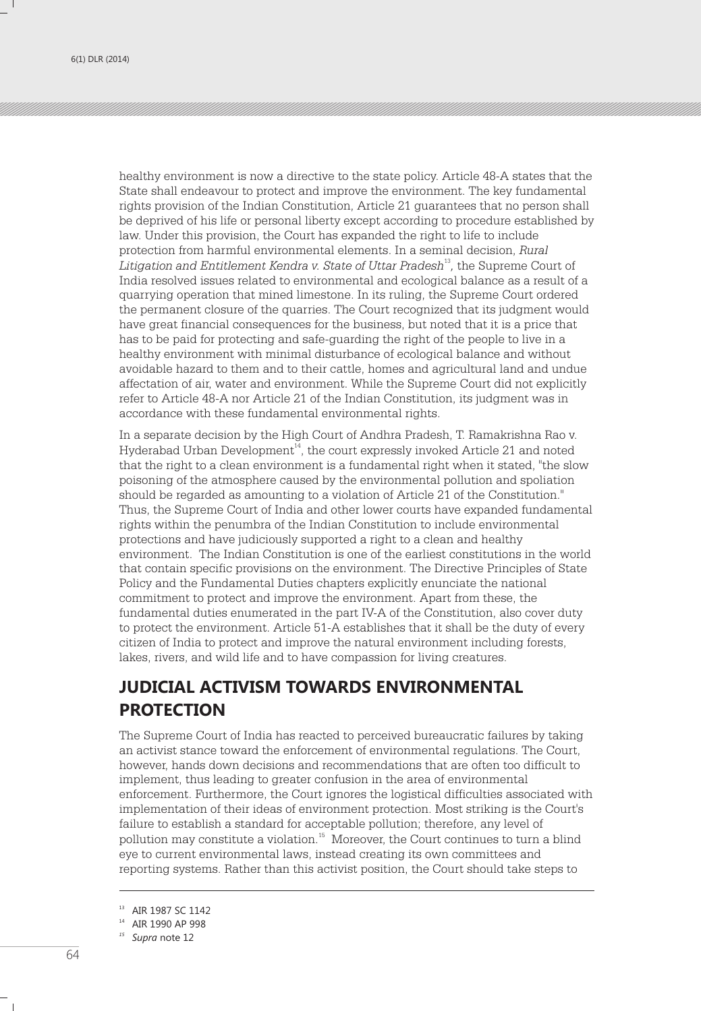healthy environment is now a directive to the state policy. Article 48-A states that the State shall endeavour to protect and improve the environment. The key fundamental rights provision of the Indian Constitution, Article 21 guarantees that no person shall be deprived of his life or personal liberty except according to procedure established by law. Under this provision, the Court has expanded the right to life to include protection from harmful environmental elements. In a seminal decision, *Rural*  Litigation and Entitlement Kendra v. State of Uttar Pradesh<sup>13</sup>, the Supreme Court of India resolved issues related to environmental and ecological balance as a result of a quarrying operation that mined limestone. In its ruling, the Supreme Court ordered the permanent closure of the quarries. The Court recognized that its judgment would have great financial consequences for the business, but noted that it is a price that has to be paid for protecting and safe-guarding the right of the people to live in a healthy environment with minimal disturbance of ecological balance and without avoidable hazard to them and to their cattle, homes and agricultural land and undue affectation of air, water and environment. While the Supreme Court did not explicitly refer to Article 48-A nor Article 21 of the Indian Constitution, its judgment was in accordance with these fundamental environmental rights.

In a separate decision by the High Court of Andhra Pradesh, T. Ramakrishna Rao v. Hyderabad Urban Development<sup>14</sup>, the court expressly invoked Article 21 and noted that the right to a clean environment is a fundamental right when it stated, "the slow poisoning of the atmosphere caused by the environmental pollution and spoliation should be regarded as amounting to a violation of Article 21 of the Constitution." Thus, the Supreme Court of India and other lower courts have expanded fundamental rights within the penumbra of the Indian Constitution to include environmental protections and have judiciously supported a right to a clean and healthy environment. The Indian Constitution is one of the earliest constitutions in the world that contain specific provisions on the environment. The Directive Principles of State Policy and the Fundamental Duties chapters explicitly enunciate the national commitment to protect and improve the environment. Apart from these, the fundamental duties enumerated in the part IV-A of the Constitution, also cover duty to protect the environment. Article 51-A establishes that it shall be the duty of every citizen of India to protect and improve the natural environment including forests, lakes, rivers, and wild life and to have compassion for living creatures.

# **JUDICIAL ACTIVISM TOWARDS ENVIRONMENTAL PROTECTION**

The Supreme Court of India has reacted to perceived bureaucratic failures by taking an activist stance toward the enforcement of environmental regulations. The Court, however, hands down decisions and recommendations that are often too difficult to implement, thus leading to greater confusion in the area of environmental enforcement. Furthermore, the Court ignores the logistical difficulties associated with implementation of their ideas of environment protection. Most striking is the Court's failure to establish a standard for acceptable pollution; therefore, any level of pollution may constitute a violation.<sup>15</sup> Moreover, the Court continues to turn a blind eye to current environmental laws, instead creating its own committees and reporting systems. Rather than this activist position, the Court should take steps to

<sup>&</sup>lt;sup>13</sup> AIR 1987 SC 1142

<sup>14</sup> AIR 1990 AP 998

*<sup>15</sup> Supra* note 12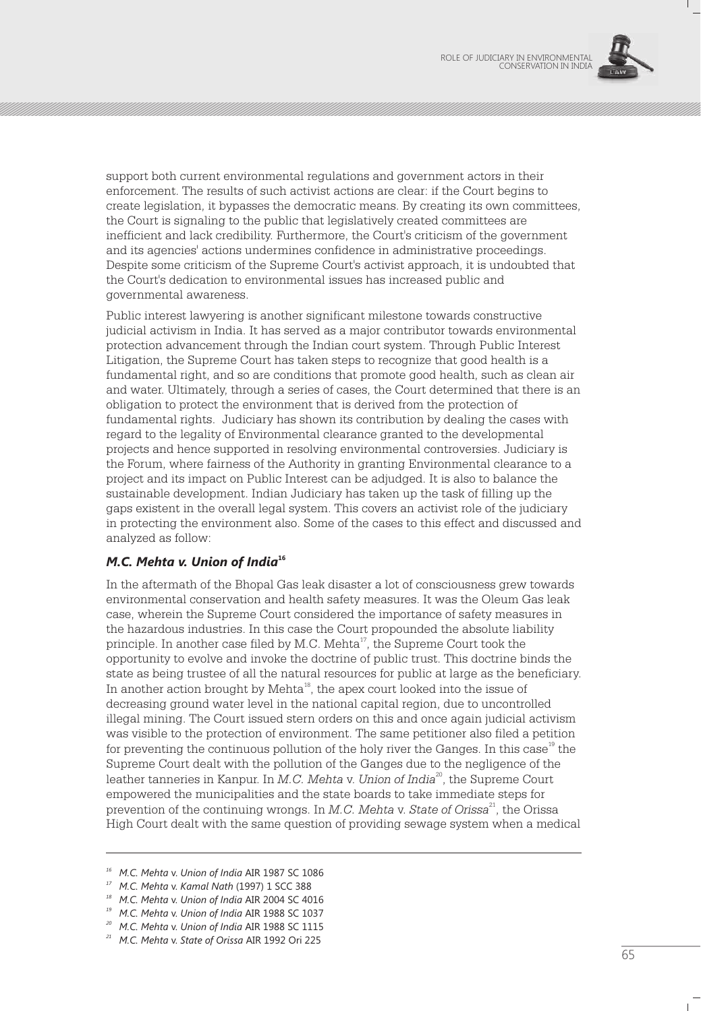

support both current environmental regulations and government actors in their enforcement. The results of such activist actions are clear: if the Court begins to create legislation, it bypasses the democratic means. By creating its own committees, the Court is signaling to the public that legislatively created committees are inefficient and lack credibility. Furthermore, the Court's criticism of the government and its agencies' actions undermines confidence in administrative proceedings. Despite some criticism of the Supreme Court's activist approach, it is undoubted that the Court's dedication to environmental issues has increased public and governmental awareness.

Public interest lawyering is another significant milestone towards constructive judicial activism in India. It has served as a major contributor towards environmental protection advancement through the Indian court system. Through Public Interest Litigation, the Supreme Court has taken steps to recognize that good health is a fundamental right, and so are conditions that promote good health, such as clean air and water. Ultimately, through a series of cases, the Court determined that there is an obligation to protect the environment that is derived from the protection of fundamental rights. Judiciary has shown its contribution by dealing the cases with regard to the legality of Environmental clearance granted to the developmental projects and hence supported in resolving environmental controversies. Judiciary is the Forum, where fairness of the Authority in granting Environmental clearance to a project and its impact on Public Interest can be adjudged. It is also to balance the sustainable development. Indian Judiciary has taken up the task of filling up the gaps existent in the overall legal system. This covers an activist role of the judiciary in protecting the environment also. Some of the cases to this effect and discussed and analyzed as follow:

### **<sup>16</sup>** *M.C. Mehta v. Union of India*

In the aftermath of the Bhopal Gas leak disaster a lot of consciousness grew towards environmental conservation and health safety measures. It was the Oleum Gas leak case, wherein the Supreme Court considered the importance of safety measures in the hazardous industries. In this case the Court propounded the absolute liability principle. In another case filed by M.C. Mehta $\alpha$ <sup>17</sup>, the Supreme Court took the opportunity to evolve and invoke the doctrine of public trust. This doctrine binds the state as being trustee of all the natural resources for public at large as the beneficiary. In another action brought by Mehta<sup>18</sup>, the apex court looked into the issue of decreasing ground water level in the national capital region, due to uncontrolled illegal mining. The Court issued stern orders on this and once again judicial activism was visible to the protection of environment. The same petitioner also filed a petition for preventing the continuous pollution of the holy river the Ganges. In this case  $19$  the Supreme Court dealt with the pollution of the Ganges due to the negligence of the leather tanneries in Kanpur. In *M.C. Mehta v. Union of India*<sup>20</sup>, the Supreme Court empowered the municipalities and the state boards to take immediate steps for <sup>21</sup> prevention of the continuing wrongs. In *M.C. Mehta* v. *State of Orissa* , the Orissa High Court dealt with the same question of providing sewage system when a medical

*<sup>16</sup> M.C. Mehta* v. *Union of India* AIR 1987 SC 1086

*<sup>17</sup> M.C. Mehta* v. *Kamal Nath* (1997) 1 SCC 388

*<sup>18</sup> M.C. Mehta* v. *Union of India* AIR 2004 SC 4016

*<sup>19</sup> M.C. Mehta* v. *Union of India* AIR 1988 SC 1037

*<sup>20</sup> M.C. Mehta* v. *Union of India* AIR 1988 SC 1115

*<sup>21</sup> M.C. Mehta* v. *State of Orissa* AIR 1992 Ori 225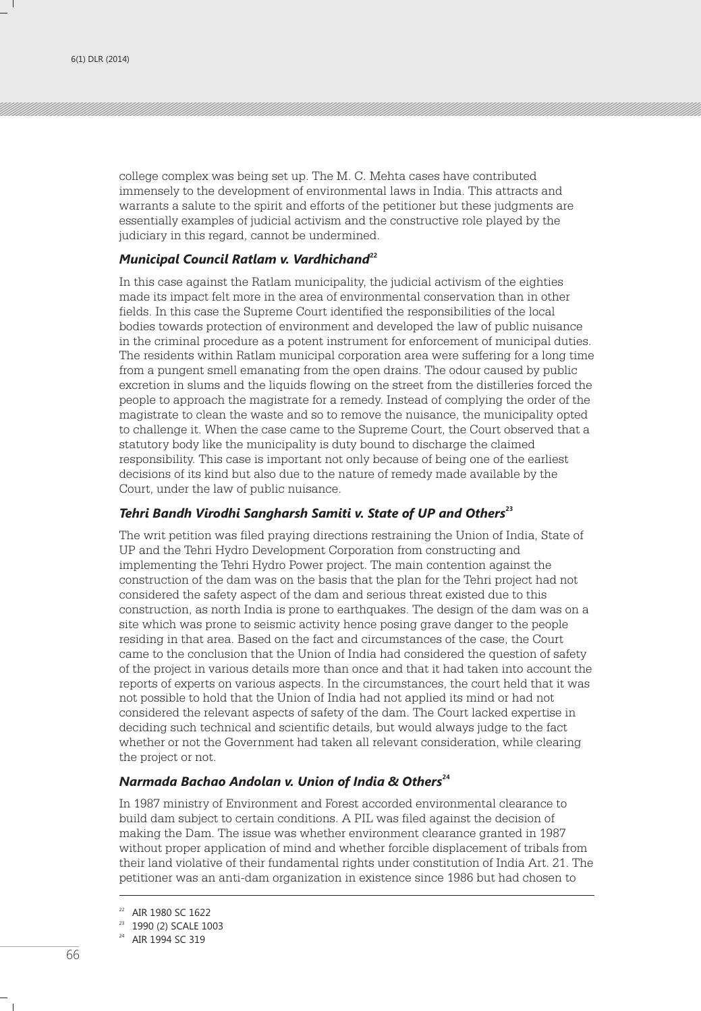college complex was being set up. The M. C. Mehta cases have contributed immensely to the development of environmental laws in India. This attracts and warrants a salute to the spirit and efforts of the petitioner but these judgments are essentially examples of judicial activism and the constructive role played by the judiciary in this regard, cannot be undermined.

#### **<sup>22</sup>** *Municipal Council Ratlam v. Vardhichand*

In this case against the Ratlam municipality, the judicial activism of the eighties made its impact felt more in the area of environmental conservation than in other fields. In this case the Supreme Court identified the responsibilities of the local bodies towards protection of environment and developed the law of public nuisance in the criminal procedure as a potent instrument for enforcement of municipal duties. The residents within Ratlam municipal corporation area were suffering for a long time from a pungent smell emanating from the open drains. The odour caused by public excretion in slums and the liquids flowing on the street from the distilleries forced the people to approach the magistrate for a remedy. Instead of complying the order of the magistrate to clean the waste and so to remove the nuisance, the municipality opted to challenge it. When the case came to the Supreme Court, the Court observed that a statutory body like the municipality is duty bound to discharge the claimed responsibility. This case is important not only because of being one of the earliest decisions of its kind but also due to the nature of remedy made available by the Court, under the law of public nuisance.

#### **<sup>23</sup>** *Tehri Bandh Virodhi Sangharsh Samiti v. State of UP and Others*

The writ petition was filed praying directions restraining the Union of India, State of UP and the Tehri Hydro Development Corporation from constructing and implementing the Tehri Hydro Power project. The main contention against the construction of the dam was on the basis that the plan for the Tehri project had not considered the safety aspect of the dam and serious threat existed due to this construction, as north India is prone to earthquakes. The design of the dam was on a site which was prone to seismic activity hence posing grave danger to the people residing in that area. Based on the fact and circumstances of the case, the Court came to the conclusion that the Union of India had considered the question of safety of the project in various details more than once and that it had taken into account the reports of experts on various aspects. In the circumstances, the court held that it was not possible to hold that the Union of India had not applied its mind or had not considered the relevant aspects of safety of the dam. The Court lacked expertise in deciding such technical and scientific details, but would always judge to the fact whether or not the Government had taken all relevant consideration, while clearing the project or not.

#### **<sup>24</sup>** *Narmada Bachao Andolan v. Union of India & Others*

In 1987 ministry of Environment and Forest accorded environmental clearance to build dam subject to certain conditions. A PIL was filed against the decision of making the Dam. The issue was whether environment clearance granted in 1987 without proper application of mind and whether forcible displacement of tribals from their land violative of their fundamental rights under constitution of India Art. 21. The petitioner was an anti-dam organization in existence since 1986 but had chosen to

<sup>22</sup> AIR 1980 SC 1622

<sup>23</sup> 1990 (2) SCALE 1003

<sup>&</sup>lt;sup>24</sup> AIR 1994 SC 319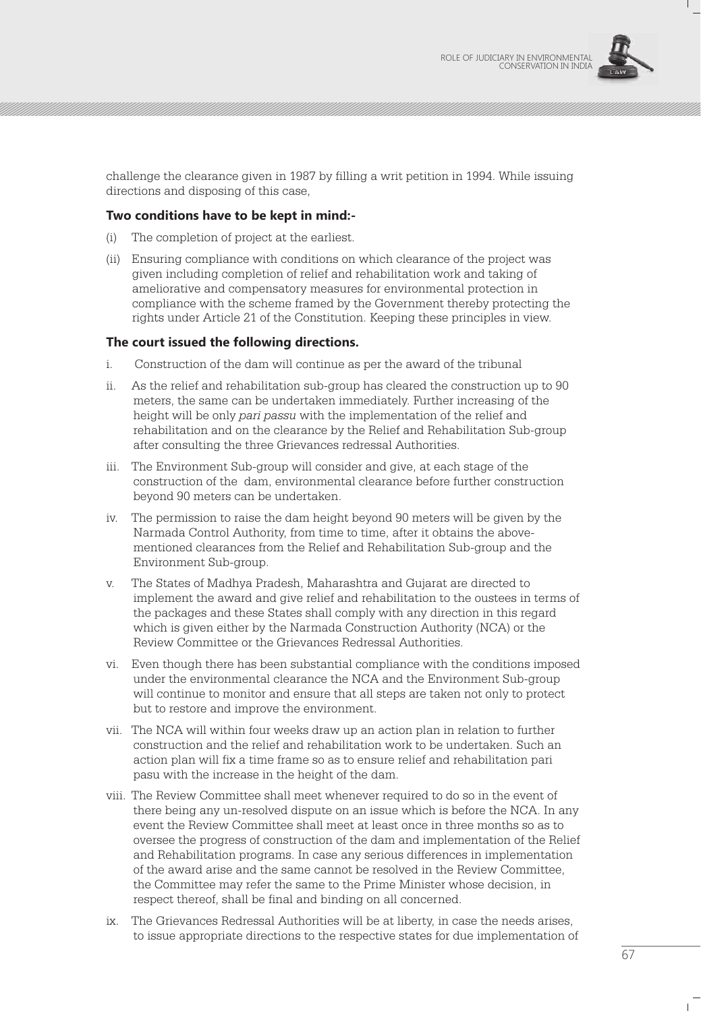

challenge the clearance given in 1987 by filling a writ petition in 1994. While issuing directions and disposing of this case,

#### **Two conditions have to be kept in mind:-**

- (i) The completion of project at the earliest.
- (ii) Ensuring compliance with conditions on which clearance of the project was given including completion of relief and rehabilitation work and taking of ameliorative and compensatory measures for environmental protection in compliance with the scheme framed by the Government thereby protecting the rights under Article 21 of the Constitution. Keeping these principles in view.

#### **The court issued the following directions.**

- i. Construction of the dam will continue as per the award of the tribunal
- ii. As the relief and rehabilitation sub-group has cleared the construction up to 90 meters, the same can be undertaken immediately. Further increasing of the height will be only *pari passu* with the implementation of the relief and rehabilitation and on the clearance by the Relief and Rehabilitation Sub-group after consulting the three Grievances redressal Authorities.
- iii. The Environment Sub-group will consider and give, at each stage of the construction of the dam, environmental clearance before further construction beyond 90 meters can be undertaken.
- iv. The permission to raise the dam height beyond 90 meters will be given by the Narmada Control Authority, from time to time, after it obtains the abovementioned clearances from the Relief and Rehabilitation Sub-group and the Environment Sub-group.
- v. The States of Madhya Pradesh, Maharashtra and Gujarat are directed to implement the award and give relief and rehabilitation to the oustees in terms of the packages and these States shall comply with any direction in this regard which is given either by the Narmada Construction Authority (NCA) or the Review Committee or the Grievances Redressal Authorities.
- vi. Even though there has been substantial compliance with the conditions imposed under the environmental clearance the NCA and the Environment Sub-group will continue to monitor and ensure that all steps are taken not only to protect but to restore and improve the environment.
- vii. The NCA will within four weeks draw up an action plan in relation to further construction and the relief and rehabilitation work to be undertaken. Such an action plan will fix a time frame so as to ensure relief and rehabilitation pari pasu with the increase in the height of the dam.
- viii. The Review Committee shall meet whenever required to do so in the event of there being any un-resolved dispute on an issue which is before the NCA. In any event the Review Committee shall meet at least once in three months so as to oversee the progress of construction of the dam and implementation of the Relief and Rehabilitation programs. In case any serious differences in implementation of the award arise and the same cannot be resolved in the Review Committee, the Committee may refer the same to the Prime Minister whose decision, in respect thereof, shall be final and binding on all concerned.
- ix. The Grievances Redressal Authorities will be at liberty, in case the needs arises, to issue appropriate directions to the respective states for due implementation of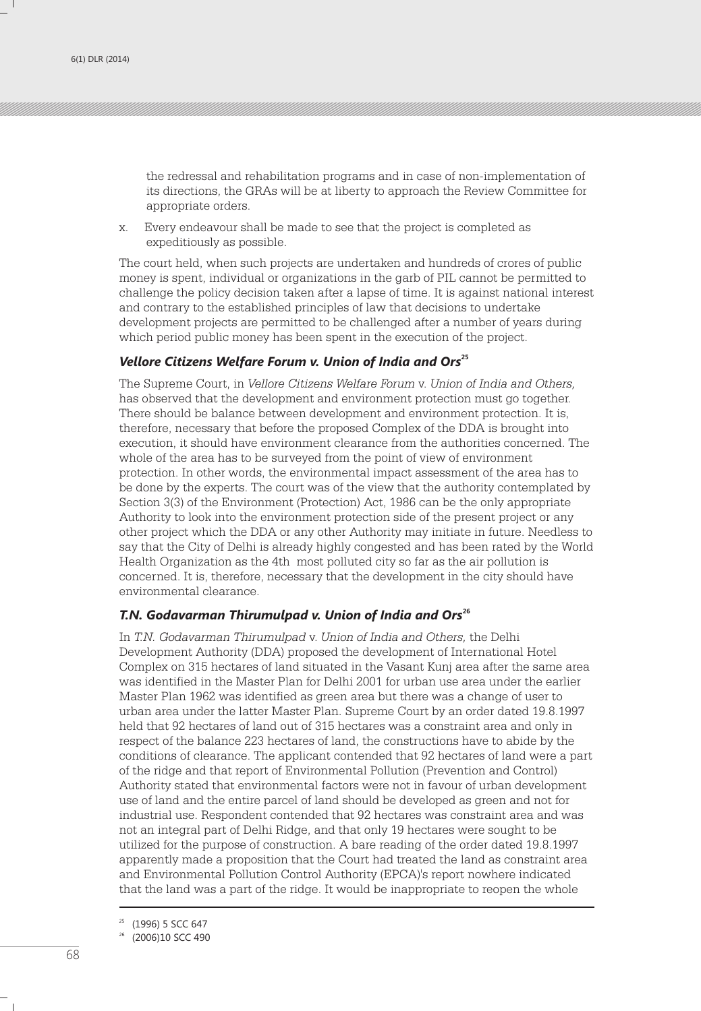the redressal and rehabilitation programs and in case of non-implementation of its directions, the GRAs will be at liberty to approach the Review Committee for appropriate orders.

x. Every endeavour shall be made to see that the project is completed as expeditiously as possible.

The court held, when such projects are undertaken and hundreds of crores of public money is spent, individual or organizations in the garb of PIL cannot be permitted to challenge the policy decision taken after a lapse of time. It is against national interest and contrary to the established principles of law that decisions to undertake development projects are permitted to be challenged after a number of years during which period public money has been spent in the execution of the project.

#### **<sup>25</sup>** *Vellore Citizens Welfare Forum v. Union of India and Ors*

The Supreme Court, in *Vellore Citizens Welfare Forum* v. *Union of India and Others,* has observed that the development and environment protection must go together. There should be balance between development and environment protection. It is, therefore, necessary that before the proposed Complex of the DDA is brought into execution, it should have environment clearance from the authorities concerned. The whole of the area has to be surveyed from the point of view of environment protection. In other words, the environmental impact assessment of the area has to be done by the experts. The court was of the view that the authority contemplated by Section 3(3) of the Environment (Protection) Act, 1986 can be the only appropriate Authority to look into the environment protection side of the present project or any other project which the DDA or any other Authority may initiate in future. Needless to say that the City of Delhi is already highly congested and has been rated by the World Health Organization as the 4th most polluted city so far as the air pollution is concerned. It is, therefore, necessary that the development in the city should have environmental clearance.

#### **<sup>26</sup>** *T.N. Godavarman Thirumulpad v. Union of India and Ors*

In *T.N. Godavarman Thirumulpad* v. *Union of India and Others,* the Delhi Development Authority (DDA) proposed the development of International Hotel Complex on 315 hectares of land situated in the Vasant Kunj area after the same area was identified in the Master Plan for Delhi 2001 for urban use area under the earlier Master Plan 1962 was identified as green area but there was a change of user to urban area under the latter Master Plan. Supreme Court by an order dated 19.8.1997 held that 92 hectares of land out of 315 hectares was a constraint area and only in respect of the balance 223 hectares of land, the constructions have to abide by the conditions of clearance. The applicant contended that 92 hectares of land were a part of the ridge and that report of Environmental Pollution (Prevention and Control) Authority stated that environmental factors were not in favour of urban development use of land and the entire parcel of land should be developed as green and not for industrial use. Respondent contended that 92 hectares was constraint area and was not an integral part of Delhi Ridge, and that only 19 hectares were sought to be utilized for the purpose of construction. A bare reading of the order dated 19.8.1997 apparently made a proposition that the Court had treated the land as constraint area and Environmental Pollution Control Authority (EPCA)'s report nowhere indicated that the land was a part of the ridge. It would be inappropriate to reopen the whole

<sup>25</sup> (1996) 5 SCC 647

<sup>26</sup> (2006)10 SCC 490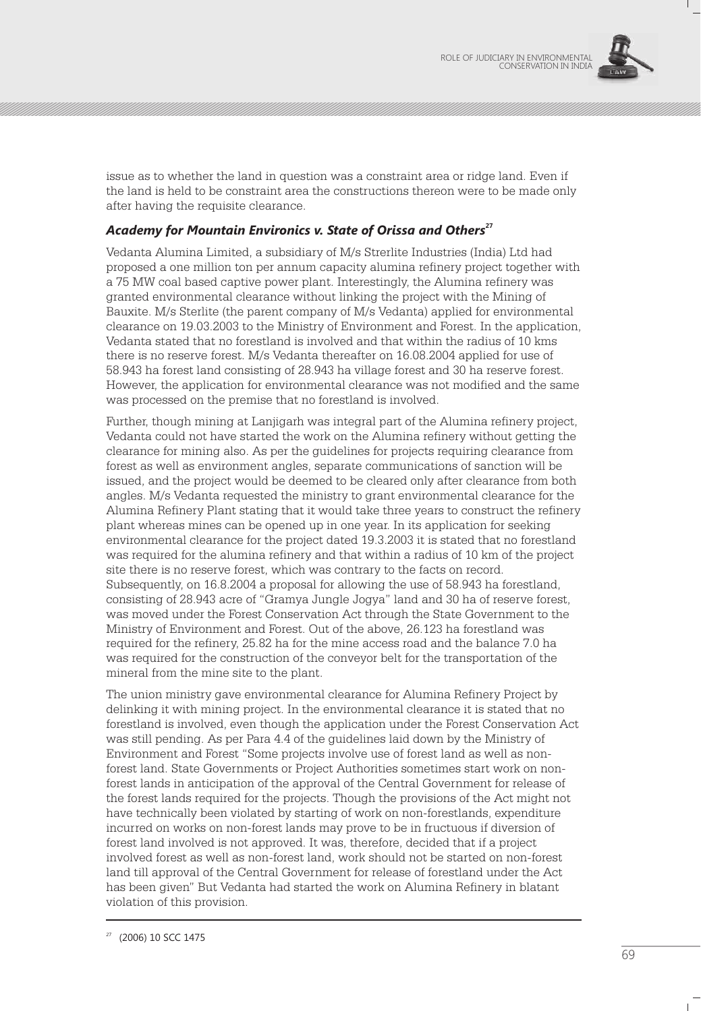

issue as to whether the land in question was a constraint area or ridge land. Even if the land is held to be constraint area the constructions thereon were to be made only after having the requisite clearance.

### **<sup>27</sup>** *Academy for Mountain Environics v. State of Orissa and Others*

Vedanta Alumina Limited, a subsidiary of M/s Strerlite Industries (India) Ltd had proposed a one million ton per annum capacity alumina refinery project together with a 75 MW coal based captive power plant. Interestingly, the Alumina refinery was granted environmental clearance without linking the project with the Mining of Bauxite. M/s Sterlite (the parent company of M/s Vedanta) applied for environmental clearance on 19.03.2003 to the Ministry of Environment and Forest. In the application, Vedanta stated that no forestland is involved and that within the radius of 10 kms there is no reserve forest. M/s Vedanta thereafter on 16.08.2004 applied for use of 58.943 ha forest land consisting of 28.943 ha village forest and 30 ha reserve forest. However, the application for environmental clearance was not modified and the same was processed on the premise that no forestland is involved.

Further, though mining at Lanjigarh was integral part of the Alumina refinery project, Vedanta could not have started the work on the Alumina refinery without getting the clearance for mining also. As per the guidelines for projects requiring clearance from forest as well as environment angles, separate communications of sanction will be issued, and the project would be deemed to be cleared only after clearance from both angles. M/s Vedanta requested the ministry to grant environmental clearance for the Alumina Refinery Plant stating that it would take three years to construct the refinery plant whereas mines can be opened up in one year. In its application for seeking environmental clearance for the project dated 19.3.2003 it is stated that no forestland was required for the alumina refinery and that within a radius of 10 km of the project site there is no reserve forest, which was contrary to the facts on record. Subsequently, on 16.8.2004 a proposal for allowing the use of 58.943 ha forestland, consisting of 28.943 acre of "Gramya Jungle Jogya" land and 30 ha of reserve forest, was moved under the Forest Conservation Act through the State Government to the Ministry of Environment and Forest. Out of the above, 26.123 ha forestland was required for the refinery, 25.82 ha for the mine access road and the balance 7.0 ha was required for the construction of the conveyor belt for the transportation of the mineral from the mine site to the plant.

The union ministry gave environmental clearance for Alumina Refinery Project by delinking it with mining project. In the environmental clearance it is stated that no forestland is involved, even though the application under the Forest Conservation Act was still pending. As per Para 4.4 of the guidelines laid down by the Ministry of Environment and Forest "Some projects involve use of forest land as well as nonforest land. State Governments or Project Authorities sometimes start work on nonforest lands in anticipation of the approval of the Central Government for release of the forest lands required for the projects. Though the provisions of the Act might not have technically been violated by starting of work on non-forestlands, expenditure incurred on works on non-forest lands may prove to be in fructuous if diversion of forest land involved is not approved. It was, therefore, decided that if a project involved forest as well as non-forest land, work should not be started on non-forest land till approval of the Central Government for release of forestland under the Act has been given" But Vedanta had started the work on Alumina Refinery in blatant violation of this provision.

<sup>27</sup> (2006) 10 SCC 1475